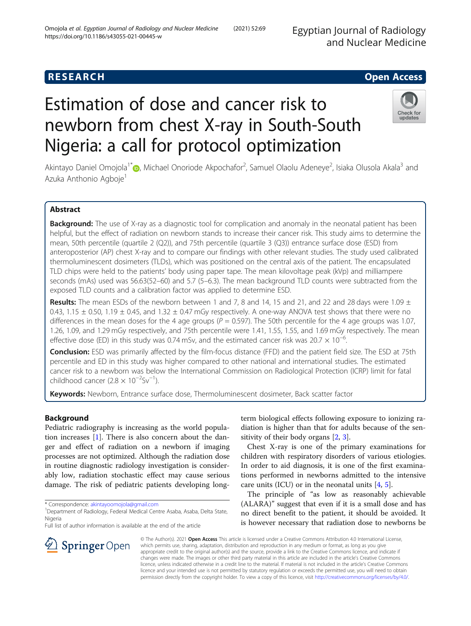## **RESEARCH CHEAR CHEAR CHEAR CHEAR CHEAR CHEAR CHEAR CHEAR CHEAR CHEAR CHEAR CHEAR CHEAR CHEAR CHEAR CHEAR CHEAR**

# Estimation of dose and cancer risk to newborn from chest X-ray in South-South Nigeria: a call for protocol optimization



Akintayo Daniel Omojola<sup>1\*</sup>�[,](http://orcid.org/0000-0002-8741-3881) Michael Onoriode Akpochafor<sup>2</sup>, Samuel Olaolu Adeneye<sup>2</sup>, Isiaka Olusola Akala<sup>3</sup> and Azuka Anthonio Agboje<sup>1</sup>

## Abstract

**Background:** The use of X-ray as a diagnostic tool for complication and anomaly in the neonatal patient has been helpful, but the effect of radiation on newborn stands to increase their cancer risk. This study aims to determine the mean, 50th percentile (quartile 2 (Q2)), and 75th percentile (quartile 3 (Q3)) entrance surface dose (ESD) from anteroposterior (AP) chest X-ray and to compare our findings with other relevant studies. The study used calibrated thermoluminescent dosimeters (TLDs), which was positioned on the central axis of the patient. The encapsulated TLD chips were held to the patients' body using paper tape. The mean kilovoltage peak (kVp) and milliampere seconds (mAs) used was 56.63(52–60) and 5.7 (5–6.3). The mean background TLD counts were subtracted from the exposed TLD counts and a calibration factor was applied to determine ESD.

**Results:** The mean ESDs of the newborn between 1 and 7, 8 and 14, 15 and 21, and 22 and 28 days were 1.09  $\pm$ 0.43, 1.15  $\pm$  0.50, 1.19  $\pm$  0.45, and 1.32  $\pm$  0.47 mGy respectively. A one-way ANOVA test shows that there were no differences in the mean doses for the 4 age groups ( $P = 0.597$ ). The 50th percentile for the 4 age groups was 1.07, 1.26, 1.09, and 1.29 mGy respectively, and 75th percentile were 1.41, 1.55, 1.55, and 1.69 mGy respectively. The mean effective dose (ED) in this study was 0.74 mSv, and the estimated cancer risk was 20.7  $\times$  10<sup>-6</sup>. .

**Conclusion:** ESD was primarily affected by the film-focus distance (FFD) and the patient field size. The ESD at 75th percentile and ED in this study was higher compared to other national and international studies. The estimated cancer risk to a newborn was below the International Commission on Radiological Protection (ICRP) limit for fatal childhood cancer (2.8  $\times$  10<sup>-2</sup>Sv<sup>-1</sup>).

Keywords: Newborn, Entrance surface dose, Thermoluminescent dosimeter, Back scatter factor

## Background

Pediatric radiography is increasing as the world population increases [\[1](#page-6-0)]. There is also concern about the danger and effect of radiation on a newborn if imaging processes are not optimized. Although the radiation dose in routine diagnostic radiology investigation is considerably low, radiation stochastic effect may cause serious damage. The risk of pediatric patients developing long-

\* Correspondence: [akintayoomojola@gmail.com](mailto:akintayoomojola@gmail.com) <sup>1</sup>

 $\mathcal{L}$  Springer Open

Full list of author information is available at the end of the article



Chest X-ray is one of the primary examinations for children with respiratory disorders of various etiologies. In order to aid diagnosis, it is one of the first examinations performed in newborns admitted to the intensive care units (ICU) or in the neonatal units [[4,](#page-6-0) [5\]](#page-6-0).

The principle of "as low as reasonably achievable (ALARA)" suggest that even if it is a small dose and has no direct benefit to the patient, it should be avoided. It is however necessary that radiation dose to newborns be

© The Author(s). 2021 Open Access This article is licensed under a Creative Commons Attribution 4.0 International License, which permits use, sharing, adaptation, distribution and reproduction in any medium or format, as long as you give appropriate credit to the original author(s) and the source, provide a link to the Creative Commons licence, and indicate if changes were made. The images or other third party material in this article are included in the article's Creative Commons licence, unless indicated otherwise in a credit line to the material. If material is not included in the article's Creative Commons licence and your intended use is not permitted by statutory regulation or exceeds the permitted use, you will need to obtain permission directly from the copyright holder. To view a copy of this licence, visit <http://creativecommons.org/licenses/by/4.0/>.

<sup>&</sup>lt;sup>1</sup> Department of Radiology, Federal Medical Centre Asaba, Asaba, Delta State, Nigeria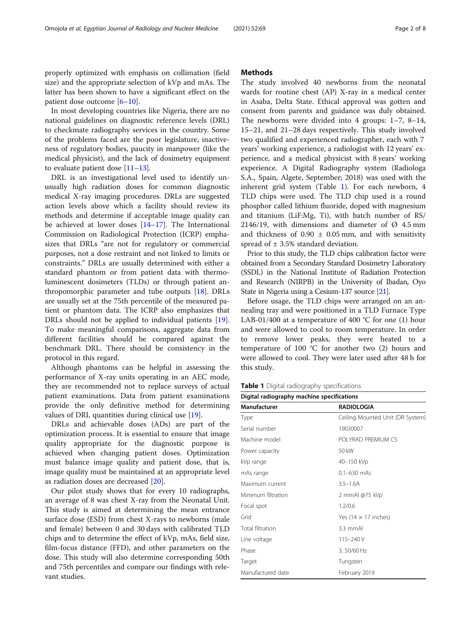properly optimized with emphasis on collimation (field size) and the appropriate selection of kVp and mAs. The latter has been shown to have a significant effect on the patient dose outcome [\[6](#page-6-0)–[10\]](#page-6-0).

In most developing countries like Nigeria, there are no national guidelines on diagnostic reference levels (DRL) to checkmate radiography services in the country. Some of the problems faced are the poor legislature, inactiveness of regulatory bodies, paucity in manpower (like the medical physicist), and the lack of dosimetry equipment to evaluate patient dose  $[11-13]$  $[11-13]$  $[11-13]$  $[11-13]$  $[11-13]$ .

DRL is an investigational level used to identify unusually high radiation doses for common diagnostic medical X-ray imaging procedures. DRLs are suggested action levels above which a facility should review its methods and determine if acceptable image quality can be achieved at lower doses [[14](#page-6-0)–[17](#page-7-0)]. The International Commission on Radiological Protection (ICRP) emphasizes that DRLs "are not for regulatory or commercial purposes, not a dose restraint and not linked to limits or constraints." DRLs are usually determined with either a standard phantom or from patient data with thermoluminescent dosimeters (TLDs) or through patient anthropomorphic parameter and tube outputs [[18\]](#page-7-0). DRLs are usually set at the 75th percentile of the measured patient or phantom data. The ICRP also emphasizes that DRLs should not be applied to individual patients [\[19](#page-7-0)]. To make meaningful comparisons, aggregate data from different facilities should be compared against the benchmark DRL. There should be consistency in the protocol in this regard.

Although phantoms can be helpful in assessing the performance of X-ray units operating in an AEC mode, they are recommended not to replace surveys of actual patient examinations. Data from patient examinations provide the only definitive method for determining values of DRL quantities during clinical use [\[19](#page-7-0)].

DRLs and achievable doses (ADs) are part of the optimization process. It is essential to ensure that image quality appropriate for the diagnostic purpose is achieved when changing patient doses. Optimization must balance image quality and patient dose, that is, image quality must be maintained at an appropriate level as radiation doses are decreased [[20\]](#page-7-0).

Our pilot study shows that for every 10 radiographs, an average of 8 was chest X-ray from the Neonatal Unit. This study is aimed at determining the mean entrance surface dose (ESD) from chest X-rays to newborns (male and female) between 0 and 30 days with calibrated TLD chips and to determine the effect of kVp, mAs, field size, film-focus distance (FFD), and other parameters on the dose. This study will also determine corresponding 50th and 75th percentiles and compare our findings with relevant studies.

#### **Methods**

The study involved 40 newborns from the neonatal wards for routine chest (AP) X-ray in a medical center in Asaba, Delta State. Ethical approval was gotten and consent from parents and guidance was duly obtained. The newborns were divided into 4 groups: 1–7, 8–14, 15–21, and 21–28 days respectively. This study involved two qualified and experienced radiographer, each with 7 years' working experience, a radiologist with 12 years' experience, and a medical physicist with 8 years' working experience. A Digital Radiography system (Radiologa S.A., Spain, Algete, September; 2018) was used with the inherent grid system (Table 1). For each newborn, 4 TLD chips were used. The TLD chip used is a round phosphor called lithium fluoride, doped with magnesium and titanium (LiF:Mg, Ti), with batch number of RS/ 2146/19, with dimensions and diameter of  $\varnothing$  4.5 mm and thickness of  $0.90 \pm 0.05$  mm, and with sensitivity spread of  $\pm$  3.5% standard deviation.

Prior to this study, the TLD chips calibration factor were obtained from a Secondary Standard Dosimetry Laboratory (SSDL) in the National Institute of Radiation Protection and Research (NIRPB) in the University of Ibadan, Oyo State in Nigeria using a Cesium-137 source [\[21\]](#page-7-0).

Before usage, the TLD chips were arranged on an annealing tray and were positioned in a TLD Furnace Type LAB-01/400 at a temperature of 400  $^{\circ}$ C for one (1) hour and were allowed to cool to room temperature. In order to remove lower peaks, they were heated to a temperature of 100 °C for another two (2) hours and were allowed to cool. They were later used after 48 h for this study.

**Table 1** Digital radiography specifications

| Digital radiography machine specifications |                                  |  |  |  |  |
|--------------------------------------------|----------------------------------|--|--|--|--|
| Manufacturer                               | <b>RADIOLOGIA</b>                |  |  |  |  |
| Type                                       | Ceiling Mounted Unit (DR System) |  |  |  |  |
| Serial number                              | 19030007                         |  |  |  |  |
| Machine model                              | POI YRAD PREMIUM CS              |  |  |  |  |
| Power capacity                             | 50 kW                            |  |  |  |  |
| kVp range                                  | 40–150 kVp                       |  |  |  |  |
| mAs range                                  | $0.1 - 630$ mAs                  |  |  |  |  |
| Maximum current                            | $3.5 - 1.6A$                     |  |  |  |  |
| Minimum filtration                         | 2 mmAl @75 kVp                   |  |  |  |  |
| Focal spot                                 | 1.2/0.6                          |  |  |  |  |
| Grid                                       | Yes (14 $\times$ 17 inches)      |  |  |  |  |
| Total filtration                           | 3.3 mmAl                         |  |  |  |  |
| Line voltage                               | 115-240 V                        |  |  |  |  |
| Phase                                      | 3, 50/60 Hz                      |  |  |  |  |
| Target                                     | Tungsten                         |  |  |  |  |
| Manufactured date                          | February 2019                    |  |  |  |  |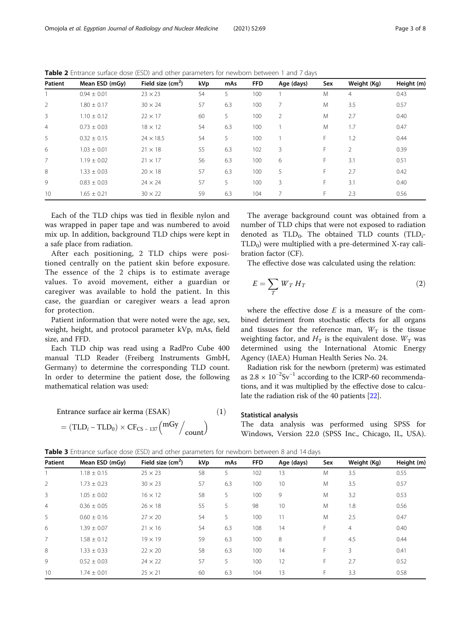| Patient        | Mean ESD (mGy)  | Field size $(cm2)$ | kVp | mAs | <b>FFD</b> | Age (days)     | Sex | Weight (Kg) | Height (m) |
|----------------|-----------------|--------------------|-----|-----|------------|----------------|-----|-------------|------------|
|                | $0.94 \pm 0.01$ | $23 \times 23$     | 54  | 5   | 100        |                | M   | 4           | 0.43       |
| 2              | $1.80 \pm 0.17$ | $30 \times 24$     | 57  | 6.3 | 100        | 7              | M   | 3.5         | 0.57       |
| 3              | $1.10 \pm 0.12$ | $22 \times 17$     | 60  | 5   | 100        | $\overline{2}$ | M   | 2.7         | 0.40       |
| $\overline{4}$ | $0.73 \pm 0.03$ | $18 \times 12$     | 54  | 6.3 | 100        |                | M   | 1.7         | 0.47       |
| 5              | $0.32 \pm 0.15$ | $24 \times 18.5$   | 54  | 5   | 100        |                | F   | 1.2         | 0.44       |
| 6              | $1.03 \pm 0.01$ | $21 \times 18$     | 55  | 6.3 | 102        | 3              | F.  | 2           | 0.39       |
| $\overline{7}$ | $1.19 \pm 0.02$ | $21 \times 17$     | 56  | 6.3 | 100        | 6              | F.  | 3.1         | 0.51       |
| 8              | $1.33 \pm 0.03$ | $20 \times 18$     | 57  | 6.3 | 100        | 5              | F.  | 2.7         | 0.42       |
| 9              | $0.83 \pm 0.03$ | $24 \times 24$     | 57  | 5   | 100        | 3              | F   | 3.1         | 0.40       |
| 10             | $1.65 \pm 0.21$ | $30 \times 22$     | 59  | 6.3 | 104        | 7              | F.  | 2.3         | 0.56       |

<span id="page-2-0"></span>Table 2 Entrance surface dose (ESD) and other parameters for newborn between 1 and 7 days

Each of the TLD chips was tied in flexible nylon and was wrapped in paper tape and was numbered to avoid mix up. In addition, background TLD chips were kept in a safe place from radiation.

After each positioning, 2 TLD chips were positioned centrally on the patient skin before exposure. The essence of the 2 chips is to estimate average values. To avoid movement, either a guardian or caregiver was available to hold the patient. In this case, the guardian or caregiver wears a lead apron for protection.

Patient information that were noted were the age, sex, weight, height, and protocol parameter kVp, mAs, field size, and FFD.

Each TLD chip was read using a RadPro Cube 400 manual TLD Reader (Freiberg Instruments GmbH, Germany) to determine the corresponding TLD count. In order to determine the patient dose, the following mathematical relation was used:

Entrance surface air kerma (ESAK)  $(1)$ 

$$
= (\text{TLD}_i - \text{TLD}_0) \times \text{CF}_{\text{CS} - 137} \left( \frac{\text{mGy}}{\text{count}} \right)
$$

The average background count was obtained from a number of TLD chips that were not exposed to radiation denoted as  $TLD_0$ . The obtained TLD counts  $(TLD_i$ - $TLD<sub>0</sub>$ ) were multiplied with a pre-determined X-ray calibration factor (CF).

The effective dose was calculated using the relation:

$$
E = \sum_{T} W_{T} H_{T} \tag{2}
$$

where the effective dose  $E$  is a measure of the combined detriment from stochastic effects for all organs and tissues for the reference man,  $W_T$  is the tissue weighting factor, and  $H_T$  is the equivalent dose.  $W_T$  was determined using the International Atomic Energy Agency (IAEA) Human Health Series No. 24.

Radiation risk for the newborn (preterm) was estimated as  $2.8 \times 10^{-2}$ Sv<sup>-1</sup> according to the ICRP-60 recommendations, and it was multiplied by the effective dose to calculate the radiation risk of the 40 patients [\[22](#page-7-0)].

#### Statistical analysis

The data analysis was performed using SPSS for Windows, Version 22.0 (SPSS Inc., Chicago, IL, USA).

Table 3 Entrance surface dose (ESD) and other parameters for newborn between 8 and 14 days

| Patient        | Mean ESD (mGy)  | Field size $(cm2)$ | kVp | mAs | <b>FFD</b> | Age (days) | Sex | Weight (Kg)    | Height (m) |
|----------------|-----------------|--------------------|-----|-----|------------|------------|-----|----------------|------------|
|                | $1.18 \pm 0.15$ | $25 \times 23$     | 58  | 5   | 102        | 13         | M   | 3.5            | 0.55       |
| 2              | $1.73 \pm 0.23$ | $30 \times 23$     | 57  | 6.3 | 100        | 10         | M   | 3.5            | 0.57       |
| 3              | $1.05 \pm 0.02$ | $16 \times 12$     | 58  | 5   | 100        | 9          | M   | 3.2            | 0.53       |
| $\overline{4}$ | $0.36 \pm 0.05$ | $26 \times 18$     | 55  | 5   | 98         | 10         | M   | 1.8            | 0.56       |
| 5              | $0.60 \pm 0.16$ | $27 \times 20$     | 54  | 5   | 100        | 11         | M   | 2.5            | 0.47       |
| 6              | $1.39 + 0.07$   | $21 \times 16$     | 54  | 6.3 | 108        | 14         | F.  | $\overline{4}$ | 0.40       |
| $\overline{7}$ | $1.58 \pm 0.12$ | $19 \times 19$     | 59  | 6.3 | 100        | 8          | F   | 4.5            | 0.44       |
| 8              | $1.33 \pm 0.33$ | $22 \times 20$     | 58  | 6.3 | 100        | 14         | F.  | 3              | 0.41       |
| 9              | $0.52 \pm 0.03$ | $24 \times 22$     | 57  | 5   | 100        | 12         | F.  | 2.7            | 0.52       |
| 10             | $1.74 \pm 0.01$ | $25 \times 21$     | 60  | 6.3 | 104        | 13         | F.  | 3.3            | 0.58       |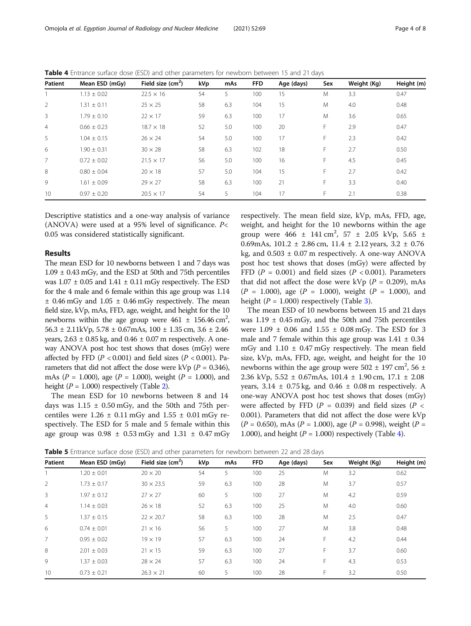| Patient        | Mean ESD (mGy)  | Field size $(cm2)$ | kVp | mAs | <b>FFD</b> | Age (days) | Sex | Weight (Kg) | Height (m) |
|----------------|-----------------|--------------------|-----|-----|------------|------------|-----|-------------|------------|
|                | $1.13 \pm 0.02$ | $22.5 \times 16$   | 54  | 5   | 100        | 15         | M   | 3.3         | 0.47       |
| 2              | $1.31 \pm 0.11$ | $25 \times 25$     | 58  | 6.3 | 104        | 15         | M   | 4.0         | 0.48       |
| 3              | $1.79 + 0.10$   | $22 \times 17$     | 59  | 6.3 | 100        | 17         | M   | 3.6         | 0.65       |
| $\overline{4}$ | $0.66 \pm 0.23$ | $18.7 \times 18$   | 52  | 5.0 | 100        | 20         | F   | 2.9         | 0.47       |
| 5              | $1.04 \pm 0.15$ | $26 \times 24$     | 54  | 5.0 | 100        | 17         | F   | 2.3         | 0.42       |
| 6              | $1.90 \pm 0.31$ | $30 \times 28$     | 58  | 6.3 | 102        | 18         | F.  | 2.7         | 0.50       |
| $\overline{7}$ | $0.72 \pm 0.02$ | $21.5 \times 17$   | 56  | 5.0 | 100        | 16         | F   | 4.5         | 0.45       |
| 8              | $0.80 \pm 0.04$ | $20 \times 18$     | 57  | 5.0 | 104        | 15         | F.  | 2.7         | 0.42       |
| 9              | $1.61 + 0.09$   | $29 \times 27$     | 58  | 6.3 | 100        | 21         | F.  | 3.3         | 0.40       |
| 10             | $0.97 \pm 0.20$ | $20.5 \times 17$   | 54  | 5   | 104        | 17         | F.  | 2.1         | 0.38       |

<span id="page-3-0"></span>Table 4 Entrance surface dose (ESD) and other parameters for newborn between 15 and 21 days

Descriptive statistics and a one-way analysis of variance (ANOVA) were used at a 95% level of significance.  $P$ < 0.05 was considered statistically significant.

#### Results

The mean ESD for 10 newborns between 1 and 7 days was  $1.09 \pm 0.43$  mGy, and the ESD at 50th and 75th percentiles was  $1.07 \pm 0.05$  and  $1.41 \pm 0.11$  mGy respectively. The ESD for the 4 male and 6 female within this age group was 1.14  $±$  0.46 mGy and 1.05  $±$  0.46 mGy respectively. The mean field size, kVp, mAs, FFD, age, weight, and height for the 10 newborns within the age group were  $461 \pm 156.46 \text{ cm}^2$ ,  $56.3 \pm 2.11$  kVp,  $5.78 \pm 0.67$  mAs,  $100 \pm 1.35$  cm,  $3.6 \pm 2.46$ years,  $2.63 \pm 0.85$  kg, and  $0.46 \pm 0.07$  m respectively. A oneway ANOVA post hoc test shows that doses (mGy) were affected by FFD ( $P < 0.001$ ) and field sizes ( $P < 0.001$ ). Parameters that did not affect the dose were kVp ( $P = 0.346$ ), mAs ( $P = 1.000$ ), age ( $P = 1.000$ ), weight ( $P = 1.000$ ), and height ( $P = 1.000$ ) respectively (Table [2](#page-2-0)).

The mean ESD for 10 newborns between 8 and 14 days was  $1.15 \pm 0.50$  mGy, and the 50th and 75th percentiles were  $1.26 \pm 0.11$  mGy and  $1.55 \pm 0.01$  mGy respectively. The ESD for 5 male and 5 female within this age group was  $0.98 \pm 0.53$  mGy and  $1.31 \pm 0.47$  mGy

respectively. The mean field size, kVp, mAs, FFD, age, weight, and height for the 10 newborns within the age group were  $466 \pm 141 \text{ cm}^2$ ,  $57 \pm 2.05 \text{ kVp}$ ,  $5.65 \pm 141 \text{ cm}^2$ 0.69mAs,  $101.2 \pm 2.86$  cm,  $11.4 \pm 2.12$  years,  $3.2 \pm 0.76$ kg, and  $0.503 \pm 0.07$  m respectively. A one-way ANOVA post hoc test shows that doses (mGy) were affected by FFD ( $P = 0.001$ ) and field sizes ( $P < 0.001$ ). Parameters that did not affect the dose were kVp ( $P = 0.209$ ), mAs  $(P = 1.000)$ , age  $(P = 1.000)$ , weight  $(P = 1.000)$ , and height ( $P = 1.000$ ) respectively (Table [3\)](#page-2-0).

The mean ESD of 10 newborns between 15 and 21 days was  $1.19 \pm 0.45$  mGy, and the 50th and 75th percentiles were  $1.09 \pm 0.06$  and  $1.55 \pm 0.08$  mGy. The ESD for 3 male and 7 female within this age group was  $1.41 \pm 0.34$ mGy and  $1.10 \pm 0.47$  mGy respectively. The mean field size, kVp, mAs, FFD, age, weight, and height for the 10 newborns within the age group were  $502 \pm 197$  cm<sup>2</sup>, 56  $\pm$ 2.36 kVp,  $5.52 \pm 0.67$  mAs,  $101.4 \pm 1.90$  cm,  $17.1 \pm 2.08$ years,  $3.14 \pm 0.75$  kg, and  $0.46 \pm 0.08$  m respectively. A one-way ANOVA post hoc test shows that doses (mGy) were affected by FFD ( $P = 0.039$ ) and field sizes ( $P <$ 0.001). Parameters that did not affect the dose were kVp  $(P = 0.650)$ , mAs  $(P = 1.000)$ , age  $(P = 0.998)$ , weight  $(P = 0.650)$ 1.000), and height ( $P = 1.000$ ) respectively (Table 4).

Table 5 Entrance surface dose (ESD) and other parameters for newborn between 22 and 28 days

| Patient        | Mean ESD (mGy)  | Field size $(cm2)$ | kVp | mAs | <b>FFD</b> | Age (days) | Sex | Weight (Kg) | Height (m) |
|----------------|-----------------|--------------------|-----|-----|------------|------------|-----|-------------|------------|
|                | $1.20 + 0.01$   | $20 \times 20$     | 54  | 5   | 100        | 25         | M   | 3.2         | 0.62       |
| $\overline{2}$ | $1.73 \pm 0.17$ | $30 \times 23.5$   | 59  | 6.3 | 100        | 28         | M   | 3.7         | 0.57       |
| 3              | $1.97 \pm 0.12$ | $27 \times 27$     | 60  | 5   | 100        | 27         | M   | 4.2         | 0.59       |
| $\overline{4}$ | $1.14 \pm 0.03$ | $26 \times 18$     | 52  | 6.3 | 100        | 25         | M   | 4.0         | 0.60       |
| 5              | $1.37 \pm 0.15$ | $22 \times 20.7$   | 58  | 6.3 | 100        | 28         | M   | 2.5         | 0.47       |
| 6              | $0.74 + 0.01$   | $21 \times 16$     | 56  | 5   | 100        | 27         | M   | 3.8         | 0.48       |
| $\overline{7}$ | $0.95 \pm 0.02$ | $19 \times 19$     | 57  | 6.3 | 100        | 24         | F   | 4.2         | 0.44       |
| 8              | $2.01 + 0.03$   | $21 \times 15$     | 59  | 6.3 | 100        | 27         | F   | 3.7         | 0.60       |
| 9              | $1.37 \pm 0.03$ | $28 \times 24$     | 57  | 6.3 | 100        | 24         | F   | 4.3         | 0.53       |
| 10             | $0.73 \pm 0.21$ | $26.3 \times 21$   | 60  | 5   | 100        | 28         | F   | 3.2         | 0.50       |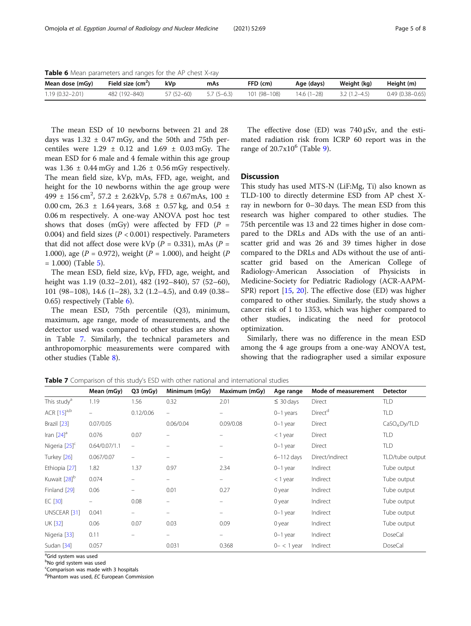Table 6 Mean parameters and ranges for the AP chest X-ray

| Mean dose (mGy)     | Field size $(cm2)$ | kVp        | mAs          | FFD (cm)     | Age (days)   | Weight (kg)    | Height (m)          |
|---------------------|--------------------|------------|--------------|--------------|--------------|----------------|---------------------|
| $1.19(0.32 - 2.01)$ | 482 (192-840)      | 57 (52–60) | $5.7(5-6.3)$ | 101 (98-108) | $14.6(1-28)$ | $3.2(1.2-4.5)$ | $0.49(0.38 - 0.65)$ |

The mean ESD of 10 newborns between 21 and 28 days was  $1.32 \pm 0.47$  mGy, and the 50th and 75th percentiles were  $1.29 \pm 0.12$  and  $1.69 \pm 0.03$  mGy. The mean ESD for 6 male and 4 female within this age group was  $1.36 \pm 0.44$  mGy and  $1.26 \pm 0.56$  mGy respectively. The mean field size, kVp, mAs, FFD, age, weight, and height for the 10 newborns within the age group were  $499 \pm 156 \text{ cm}^2$ ,  $57.2 \pm 2.62 \text{kVp}$ ,  $5.78 \pm 0.67 \text{mAs}$ ,  $100 \pm 100 \text{ s}$ 0.00 cm,  $26.3 \pm 1.64$  years,  $3.68 \pm 0.57$  kg, and  $0.54 \pm 0.59$ 0.06 m respectively. A one-way ANOVA post hoc test shows that doses (mGy) were affected by FFD  $(P =$ 0.004) and field sizes ( $P < 0.001$ ) respectively. Parameters that did not affect dose were kVp ( $P = 0.331$ ), mAs ( $P =$ 1.000), age ( $P = 0.972$ ), weight ( $P = 1.000$ ), and height ( $P = 1.000$ )  $= 1.000$ ) (Table [5](#page-3-0)).

The mean ESD, field size, kVp, FFD, age, weight, and height was 1.19 (0.32–2.01), 482 (192–840), 57 (52–60), 101 (98–108), 14.6 (1–28), 3.2 (1.2–4.5), and 0.49 (0.38– 0.65) respectively (Table 6).

The mean ESD, 75th percentile (Q3), minimum, maximum, age range, mode of measurements, and the detector used was compared to other studies are shown in Table 7. Similarly, the technical parameters and anthropomorphic measurements were compared with other studies (Table [8](#page-5-0)).

The effective dose (ED) was 740 μSv, and the estimated radiation risk from ICRP 60 report was in the range of  $20.7x10^6$  (Table [9](#page-5-0)).

#### **Discussion**

This study has used MTS-N (LiF:Mg, Ti) also known as TLD-100 to directly determine ESD from AP chest Xray in newborn for 0–30 days. The mean ESD from this research was higher compared to other studies. The 75th percentile was 13 and 22 times higher in dose compared to the DRLs and ADs with the use of an antiscatter grid and was 26 and 39 times higher in dose compared to the DRLs and ADs without the use of antiscatter grid based on the American College of Radiology-American Association of Physicists in Medicine-Society for Pediatric Radiology (ACR-AAPM-SPR) report [[15](#page-7-0), [20\]](#page-7-0). The effective dose (ED) was higher compared to other studies. Similarly, the study shows a cancer risk of 1 to 1353, which was higher compared to other studies, indicating the need for protocol optimization.

Similarly, there was no difference in the mean ESD among the 4 age groups from a one-way ANOVA test, showing that the radiographer used a similar exposure

Table 7 Comparison of this study's ESD with other national and international studies

|                           | Mean (mGy)    | $Q3$ (mGy)               | Minimum (mGy)            | Maximum (mGy)            | Age range      | Mode of measurement | <b>Detector</b>           |
|---------------------------|---------------|--------------------------|--------------------------|--------------------------|----------------|---------------------|---------------------------|
| This study <sup>a</sup>   | 1.19          | 1.56                     | 0.32                     | 2.01                     | $\leq 30$ days | Direct              | TLD                       |
| ACR $[15]$ <sup>a,b</sup> | -             | 0.12/0.06                | $\overline{\phantom{m}}$ | $\qquad \qquad =$        | $0-1$ years    | Direct <sup>a</sup> | TLD                       |
| Brazil [23]               | 0.07/0.05     |                          | 0.06/0.04                | 0.09/0.08                | $0-1$ year     | Direct              | CaSO <sub>4</sub> :Dy/TLD |
| Iran $[24]$ <sup>a</sup>  | 0.076         | 0.07                     | $\equiv$                 |                          | $<$ 1 year     | Direct              | <b>TLD</b>                |
| Nigeria <sup>[25]c</sup>  | 0.64/0.07/1.1 | $\overline{\phantom{0}}$ |                          |                          | $0-1$ year     | Direct              | <b>TLD</b>                |
| Turkey [26]               | 0.067/0.07    | $\equiv$                 | $\equiv$                 |                          | $6 - 112$ days | Direct/indirect     | TLD/tube output           |
| Ethiopia [27]             | 1.82          | 1.37                     | 0.97                     | 2.34                     | $0-1$ year     | Indirect            | Tube output               |
| Kuwait [28] <sup>b</sup>  | 0.074         |                          | -                        | $\overline{\phantom{m}}$ | $<$ 1 year     | Indirect            | Tube output               |
| Finland [29]              | 0.06          | -                        | 0.01                     | 0.27                     | 0 year         | Indirect            | Tube output               |
| $EC$ [30]                 |               | 0.08                     | -                        |                          | 0 year         | Indirect            | Tube output               |
| UNSCEAR [31]              | 0.041         | -                        | $\equiv$                 |                          | $0-1$ year     | Indirect            | Tube output               |
| <b>UK [32]</b>            | 0.06          | 0.07                     | 0.03                     | 0.09                     | 0 year         | Indirect            | Tube output               |
| Nigeria [33]              | 0.11          |                          | $\equiv$                 |                          | $0-1$ year     | Indirect            | <b>DoseCal</b>            |
| Sudan [34]                | 0.057         |                          | 0.031                    | 0.368                    | $0-<1$ year    | Indirect            | <b>DoseCal</b>            |

<sup>a</sup>Grid system was used

<sup>b</sup>No grid system was used

Comparison was made with 3 hospitals

<sup>d</sup>Phantom was used, EC European Commission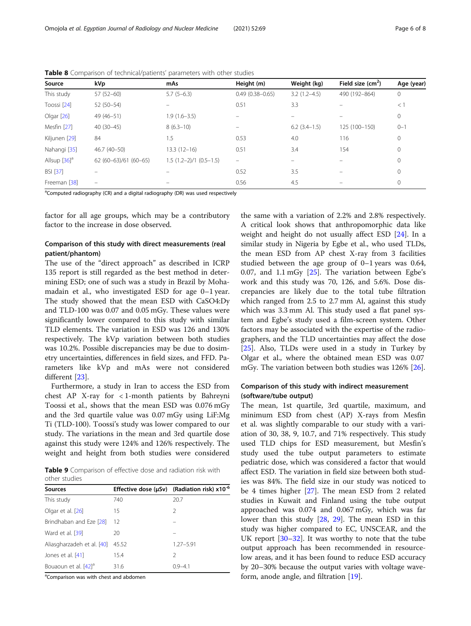| Source                     | kVp                   | mAs                     | Height (m)               | Weight (kg)       | Field size $(cm2)$ | Age (year) |
|----------------------------|-----------------------|-------------------------|--------------------------|-------------------|--------------------|------------|
| This study                 | $57(52-60)$           | $5.7(5-6.3)$            | $0.49(0.38 - 0.65)$      | $3.2(1.2 - 4.5)$  | 490 (192-864)      | 0          |
| Toossi [24]                | $52(50-54)$           |                         | 0.51                     | 3.3               |                    | $<$ 1      |
| Olgar $[26]$               | 49 (46-51)            | $1.9(1.6 - 3.5)$        |                          |                   |                    | 0          |
| Mesfin [27]                | $40(30-45)$           | $8(6.3-10)$             |                          | $6.2$ $(3.4-1.5)$ | 125 (100-150)      | $0 - 1$    |
| Kiljunen [29]              | 84                    | 1.5                     | 0.53                     | 4.0               | 116                | 0          |
| Nahangi [35]               | 46.7 (40-50)          | $13.3(12-16)$           | 0.51                     | 3.4               | 154                | 0          |
| Allsup $[36]$ <sup>a</sup> | $62(60-63)/61(60-65)$ | $1.5(1.2-2)/1(0.5-1.5)$ | $\overline{\phantom{0}}$ |                   |                    | 0          |
| <b>BSI [37]</b>            |                       |                         | 0.52                     | 3.5               |                    | 0          |
| Freeman [38]               | -                     |                         | 0.56                     | 4.5               |                    | 0          |

<span id="page-5-0"></span>Table 8 Comparison of technical/patients' parameters with other studies

<sup>a</sup>Computed radiography (CR) and a digital radiography (DR) was used respectively

factor for all age groups, which may be a contributory factor to the increase in dose observed.

#### Comparison of this study with direct measurements (real patient/phantom)

The use of the "direct approach" as described in ICRP 135 report is still regarded as the best method in determining ESD; one of such was a study in Brazil by Mohamadain et al., who investigated ESD for age 0–1 year. The study showed that the mean ESD with CaSO4:Dy and TLD-100 was 0.07 and 0.05 mGy. These values were significantly lower compared to this study with similar TLD elements. The variation in ESD was 126 and 130% respectively. The kVp variation between both studies was 10.2%. Possible discrepancies may be due to dosimetry uncertainties, differences in field sizes, and FFD. Parameters like kVp and mAs were not considered different [\[23](#page-7-0)].

Furthermore, a study in Iran to access the ESD from chest AP X-ray for < 1-month patients by Bahreyni Toossi et al., shows that the mean ESD was 0.076 mGy and the 3rd quartile value was 0.07 mGy using LiF:Mg Ti (TLD-100). Toossi's study was lower compared to our study. The variations in the mean and 3rd quartile dose against this study were 124% and 126% respectively. The weight and height from both studies were considered

Table 9 Comparison of effective dose and radiation risk with other studies

| <b>Sources</b>                   |       | Effective dose ( $\mu$ Sv) (Radiation risk) x10 <sup>-6</sup> |
|----------------------------------|-------|---------------------------------------------------------------|
| This study                       | 740   | 20.7                                                          |
| Olgar et al. [26]                | 15    | 2                                                             |
| Brindhaban and Eze [28]          | 12    |                                                               |
| Ward et al. [39]                 | 20    |                                                               |
| Aliasgharzadeh et al. [40]       | 45.52 | $1.27 - 5.91$                                                 |
| Jones et al. [41]                | 15.4  | 2                                                             |
| Bouaoun et al. [42] <sup>a</sup> | 31.6  | በ 9–41                                                        |
|                                  |       |                                                               |

<sup>a</sup>Comparison was with chest and abdomen

the same with a variation of 2.2% and 2.8% respectively. A critical look shows that anthropomorphic data like weight and height do not usually affect ESD [[24\]](#page-7-0). In a similar study in Nigeria by Egbe et al., who used TLDs, the mean ESD from AP chest X-ray from 3 facilities studied between the age group of 0–1 years was 0.64, 0.07, and 1.1 mGy  $[25]$  $[25]$ . The variation between Egbe's work and this study was 70, 126, and 5.6%. Dose discrepancies are likely due to the total tube filtration which ranged from 2.5 to 2.7 mm Al, against this study which was 3.3 mm Al. This study used a flat panel system and Egbe's study used a film-screen system. Other factors may be associated with the expertise of the radiographers, and the TLD uncertainties may affect the dose [[25\]](#page-7-0). Also, TLDs were used in a study in Turkey by Olgar et al., where the obtained mean ESD was 0.07 mGy. The variation between both studies was 126% [[26\]](#page-7-0).

#### Comparison of this study with indirect measurement (software/tube output)

The mean, 1st quartile, 3rd quartile, maximum, and minimum ESD from chest (AP) X-rays from Mesfin et al. was slightly comparable to our study with a variation of 30, 38, 9, 10.7, and 71% respectively. This study used TLD chips for ESD measurement, but Mesfin's study used the tube output parameters to estimate pediatric dose, which was considered a factor that would affect ESD. The variation in field size between both studies was 84%. The field size in our study was noticed to be 4 times higher [\[27\]](#page-7-0). The mean ESD from 2 related studies in Kuwait and Finland using the tube output approached was 0.074 and 0.067 mGy, which was far lower than this study [\[28](#page-7-0), [29\]](#page-7-0). The mean ESD in this study was higher compared to EC, UNSCEAR, and the UK report [\[30](#page-7-0)–[32\]](#page-7-0). It was worthy to note that the tube output approach has been recommended in resourcelow areas, and it has been found to reduce ESD accuracy by 20–30% because the output varies with voltage waveform, anode angle, and filtration [\[19](#page-7-0)].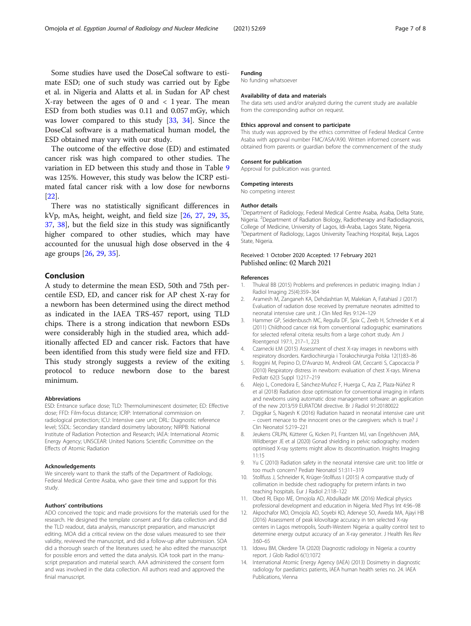<span id="page-6-0"></span>Some studies have used the DoseCal software to estimate ESD; one of such study was carried out by Egbe et al. in Nigeria and Alatts et al. in Sudan for AP chest X-ray between the ages of 0 and  $\langle$  1 year. The mean ESD from both studies was 0.11 and 0.057 mGy, which was lower compared to this study [[33](#page-7-0), [34](#page-7-0)]. Since the DoseCal software is a mathematical human model, the ESD obtained may vary with our study.

The outcome of the effective dose (ED) and estimated cancer risk was high compared to other studies. The variation in ED between this study and those in Table [9](#page-5-0) was 125%. However, this study was below the ICRP estimated fatal cancer risk with a low dose for newborns [[22\]](#page-7-0).

There was no statistically significant differences in kVp, mAs, height, weight, and field size [\[26](#page-7-0), [27,](#page-7-0) [29,](#page-7-0) [35](#page-7-0), [37,](#page-7-0) [38](#page-7-0)], but the field size in this study was significantly higher compared to other studies, which may have accounted for the unusual high dose observed in the 4 age groups [\[26,](#page-7-0) [29,](#page-7-0) [35\]](#page-7-0).

### Conclusion

A study to determine the mean ESD, 50th and 75th percentile ESD, ED, and cancer risk for AP chest X-ray for a newborn has been determined using the direct method as indicated in the IAEA TRS-457 report, using TLD chips. There is a strong indication that newborn ESDs were considerably high in the studied area, which additionally affected ED and cancer risk. Factors that have been identified from this study were field size and FFD. This study strongly suggests a review of the exiting protocol to reduce newborn dose to the barest minimum.

#### Abbreviations

ESD: Entrance surface dose; TLD: Thermoluminescent dosimeter; ED: Effective dose; FFD: Film-focus distance; ICRP: International commission on radiological protection; ICU: Intensive care unit; DRL: Diagnostic reference level; SSDL: Secondary standard dosimetry laboratory; NIRPB: National Institute of Radiation Protection and Research; IAEA: International Atomic Energy Agency; UNSCEAR: United Nations Scientific Committee on the Effects of Atomic Radiation

#### Acknowledgements

We sincerely want to thank the staffs of the Department of Radiology, Federal Medical Centre Asaba, who gave their time and support for this study.

#### Authors' contributions

ADO conceived the topic and made provisions for the materials used for the research. He designed the template consent and for data collection and did the TLD readout, data analysis, manuscript preparation, and manuscript editing. MOA did a critical review on the dose values measured to see their validity, reviewed the manuscript, and did a follow-up after submission. SOA did a thorough search of the literatures used; he also edited the manuscript for possible errors and vetted the data analysis. IOA took part in the manuscript preparation and material search. AAA administered the consent form and was involved in the data collection. All authors read and approved the finial manuscript.

#### Funding

No funding whatsoever

#### Availability of data and materials

The data sets used and/or analyzed during the current study are available from the corresponding author on request.

#### Ethics approval and consent to participate

This study was approved by the ethics committee of Federal Medical Centre Asaba with approval number FMC/ASA/A90. Written informed consent was obtained from parents or guardian before the commencement of the study

#### Consent for publication

Approval for publication was granted.

## Competing interests

No competing interest

#### Author details

<sup>1</sup>Department of Radiology, Federal Medical Centre Asaba, Asaba, Delta State Nigeria. <sup>2</sup>Department of Radiation Biology, Radiotherapy and Radiodiagnosis, College of Medicine, University of Lagos, Idi-Araba, Lagos State, Nigeria. <sup>3</sup>Department of Radiology, Lagos University Teaching Hospital, Ikeja, Lagos State, Nigeria.

## Received: 1 October 2020 Accepted: 17 February 2021

#### References

- 1. Thukral BB (2015) Problems and preferences in pediatric imaging. Indian J Radiol Imaging 25(4):359–364
- 2. Aramesh M, Zanganeh KA, Dehdashtian M, Malekian A, Fatahiasl J (2017) Evaluation of radiation dose received by premature neonates admitted to neonatal intensive care unit. J Clin Med Res 9:124–129
- 3. Hammer GP, Seidenbusch MC, Regulla DF, Spix C, Zeeb H, Schneider K et al (2011) Childhood cancer risk from conventional radiographic examinations for selected referral criteria: results from a large cohort study. Am J Roentgenol 197:1, 217–1, 223
- 4. Czarnecki ŁM (2015) Assessment of chest X-ray images in newborns with respiratory disorders. Kardiochirurgia i Torakochirurgia Polska 12(1):83–86
- 5. Roggini M, Pepino D, D'Avanzo M, Andreoli GM, Ceccanti S, Capocaccia P (2010) Respiratory distress in newborn: evaluation of chest X-rays. Minerva Pediatr 62(3 Suppl 1):217–219
- 6. Alejo L, Corredoira E, Sánchez-Muñoz F, Huerga C, Aza Z, Plaza-Núñez R et al (2018) Radiation dose optimisation for conventional imaging in infants and newborns using automatic dose management software: an application of the new 2013/59 EURATOM directive. Br J Radiol 91:20180022
- 7. Diggikar S, Nagesh K (2016) Radiation hazard in neonatal intensive care unit – covert menace to the innocent ones or the caregivers: which is true? J Clin Neonatol 5:219–221
- 8. Jeukens CRLPN, Kütterer G, Kicken PJ, Frantzen MJ, van Engelshoven JMA, Wildberger JE et al (2020) Gonad shielding in pelvic radiography: modern optimised X-ray systems might allow its discontinuation. Insights Imaging 11:15
- 9. Yu C (2010) Radiation safety in the neonatal intensive care unit: too little or too much concern? Pediatr Neonatol 51:311–319
- 10. Stollfuss J, Schneider K, Krüger-Stollfuss I (2015) A comparative study of collimation in bedside chest radiography for preterm infants in two teaching hospitals. Eur J Radiol 2:118–122
- 11. Obed RI, Ekpo ME, Omojola AD, Abdulkadir MK (2016) Medical physics professional development and education in Nigeria. Med Phys Int 4:96–98
- 12. Akpochafor MO, Omojola AD, Soyebi KO, Adeneye SO, Aweda MA, Ajayi HB (2016) Assessment of peak kilovoltage accuracy in ten selected X-ray centers in Lagos metropolis, South-Western Nigeria: a quality control test to determine energy output accuracy of an X-ray generator. J Health Res Rev 3:60–65
- 13. Idowu BM, Okedere TA (2020) Diagnostic radiology in Nigeria: a country report. J Glob Radiol 6(1):1072
- 14. International Atomic Energy Agency (IAEA) (2013) Dosimetry in diagnostic radiology for paediatrics patients, IAEA human health series no. 24. IAEA Publications, Vienna